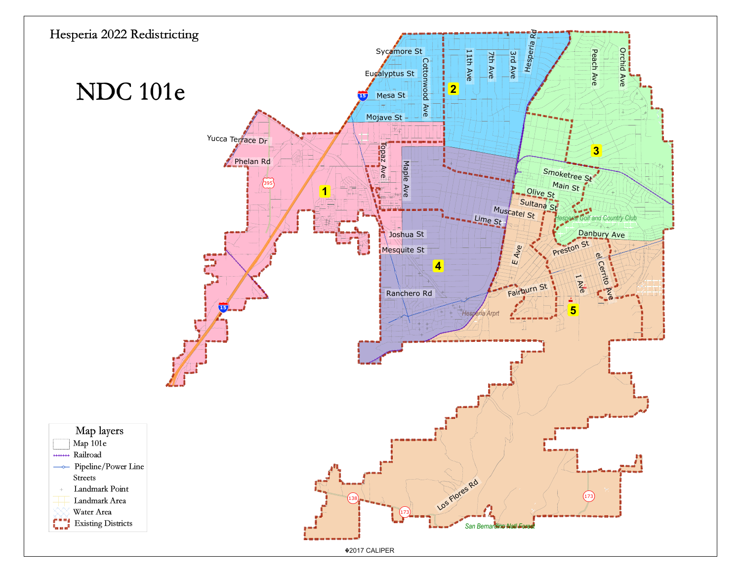